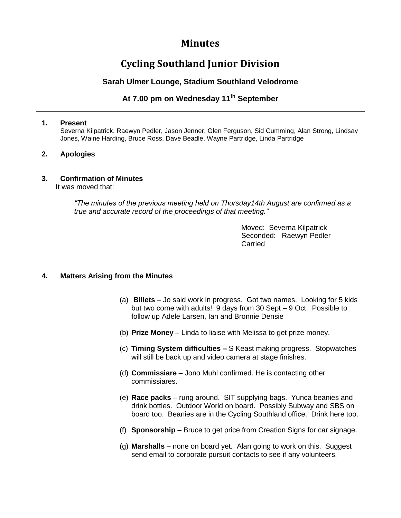## **Minutes**

# **Cycling Southland Junior Division**

### **Sarah Ulmer Lounge, Stadium Southland Velodrome**

## **At 7.00 pm on Wednesday 11th September**

#### **1. Present**

Severna Kilpatrick, Raewyn Pedler, Jason Jenner, Glen Ferguson, Sid Cumming, Alan Strong, Lindsay Jones, Waine Harding, Bruce Ross, Dave Beadle, Wayne Partridge, Linda Partridge

#### **2. Apologies**

#### **3. Confirmation of Minutes**

It was moved that:

*"The minutes of the previous meeting held on Thursday14th August are confirmed as a true and accurate record of the proceedings of that meeting."*

> Moved: Severna Kilpatrick Seconded: Raewyn Pedler Carried

#### **4. Matters Arising from the Minutes**

- (a) **Billets** Jo said work in progress. Got two names. Looking for 5 kids but two come with adults! 9 days from 30 Sept – 9 Oct. Possible to follow up Adele Larsen, Ian and Bronnie Densie
- (b) **Prize Money** Linda to liaise with Melissa to get prize money.
- (c) **Timing System difficulties –** S Keast making progress. Stopwatches will still be back up and video camera at stage finishes.
- (d) **Commissiare**  Jono Muhl confirmed. He is contacting other commissiares.
- (e) **Race packs** rung around. SIT supplying bags. Yunca beanies and drink bottles. Outdoor World on board. Possibly Subway and SBS on board too. Beanies are in the Cycling Southland office. Drink here too.
- (f) **Sponsorship –** Bruce to get price from Creation Signs for car signage.
- (g) **Marshalls** none on board yet. Alan going to work on this. Suggest send email to corporate pursuit contacts to see if any volunteers.